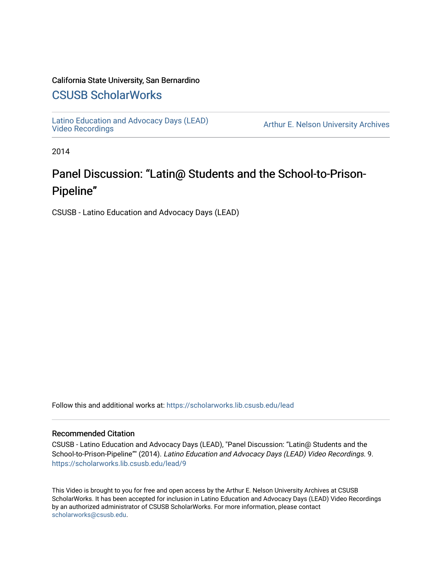#### California State University, San Bernardino

## [CSUSB ScholarWorks](https://scholarworks.lib.csusb.edu/)

[Latino Education and Advocacy Days \(LEAD\)](https://scholarworks.lib.csusb.edu/lead) 

Arthur E. Nelson University Archives

2014

# Panel Discussion: "Latin@ Students and the School-to-Prison-Pipeline"

CSUSB - Latino Education and Advocacy Days (LEAD)

Follow this and additional works at: [https://scholarworks.lib.csusb.edu/lead](https://scholarworks.lib.csusb.edu/lead?utm_source=scholarworks.lib.csusb.edu%2Flead%2F9&utm_medium=PDF&utm_campaign=PDFCoverPages)

#### Recommended Citation

CSUSB - Latino Education and Advocacy Days (LEAD), "Panel Discussion: "Latin@ Students and the School-to-Prison-Pipeline"" (2014). Latino Education and Advocacy Days (LEAD) Video Recordings. 9. [https://scholarworks.lib.csusb.edu/lead/9](https://scholarworks.lib.csusb.edu/lead/9?utm_source=scholarworks.lib.csusb.edu%2Flead%2F9&utm_medium=PDF&utm_campaign=PDFCoverPages)

This Video is brought to you for free and open access by the Arthur E. Nelson University Archives at CSUSB ScholarWorks. It has been accepted for inclusion in Latino Education and Advocacy Days (LEAD) Video Recordings by an authorized administrator of CSUSB ScholarWorks. For more information, please contact [scholarworks@csusb.edu](mailto:scholarworks@csusb.edu).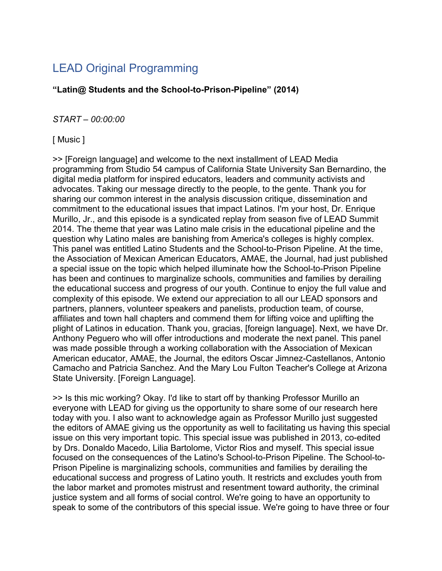# LEAD Original Programming

**"Latin@ Students and the School-to-Prison-Pipeline" (2014)**

### *START – 00:00:00*

### [ Music ]

>> [Foreign language] and welcome to the next installment of LEAD Media programming from Studio 54 campus of California State University San Bernardino, the digital media platform for inspired educators, leaders and community activists and advocates. Taking our message directly to the people, to the gente. Thank you for sharing our common interest in the analysis discussion critique, dissemination and commitment to the educational issues that impact Latinos. I'm your host, Dr. Enrique Murillo, Jr., and this episode is a syndicated replay from season five of LEAD Summit 2014. The theme that year was Latino male crisis in the educational pipeline and the question why Latino males are banishing from America's colleges is highly complex. This panel was entitled Latino Students and the School-to-Prison Pipeline. At the time, the Association of Mexican American Educators, AMAE, the Journal, had just published a special issue on the topic which helped illuminate how the School-to-Prison Pipeline has been and continues to marginalize schools, communities and families by derailing the educational success and progress of our youth. Continue to enjoy the full value and complexity of this episode. We extend our appreciation to all our LEAD sponsors and partners, planners, volunteer speakers and panelists, production team, of course, affiliates and town hall chapters and commend them for lifting voice and uplifting the plight of Latinos in education. Thank you, gracias, [foreign language]. Next, we have Dr. Anthony Peguero who will offer introductions and moderate the next panel. This panel was made possible through a working collaboration with the Association of Mexican American educator, AMAE, the Journal, the editors Oscar Jimnez-Castellanos, Antonio Camacho and Patricia Sanchez. And the Mary Lou Fulton Teacher's College at Arizona State University. [Foreign Language].

>> Is this mic working? Okay. I'd like to start off by thanking Professor Murillo an everyone with LEAD for giving us the opportunity to share some of our research here today with you. I also want to acknowledge again as Professor Murillo just suggested the editors of AMAE giving us the opportunity as well to facilitating us having this special issue on this very important topic. This special issue was published in 2013, co-edited by Drs. Donaldo Macedo, Lilia Bartolome, Victor Rios and myself. This special issue focused on the consequences of the Latino's School-to-Prison Pipeline. The School-to-Prison Pipeline is marginalizing schools, communities and families by derailing the educational success and progress of Latino youth. It restricts and excludes youth from the labor market and promotes mistrust and resentment toward authority, the criminal justice system and all forms of social control. We're going to have an opportunity to speak to some of the contributors of this special issue. We're going to have three or four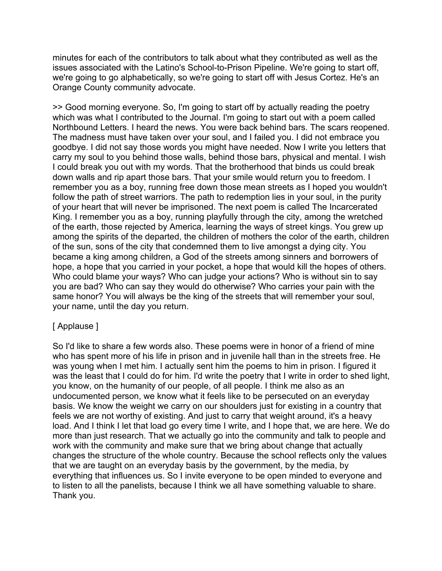minutes for each of the contributors to talk about what they contributed as well as the issues associated with the Latino's School-to-Prison Pipeline. We're going to start off, we're going to go alphabetically, so we're going to start off with Jesus Cortez. He's an Orange County community advocate.

>> Good morning everyone. So, I'm going to start off by actually reading the poetry which was what I contributed to the Journal. I'm going to start out with a poem called Northbound Letters. I heard the news. You were back behind bars. The scars reopened. The madness must have taken over your soul, and I failed you. I did not embrace you goodbye. I did not say those words you might have needed. Now I write you letters that carry my soul to you behind those walls, behind those bars, physical and mental. I wish I could break you out with my words. That the brotherhood that binds us could break down walls and rip apart those bars. That your smile would return you to freedom. I remember you as a boy, running free down those mean streets as I hoped you wouldn't follow the path of street warriors. The path to redemption lies in your soul, in the purity of your heart that will never be imprisoned. The next poem is called The Incarcerated King. I remember you as a boy, running playfully through the city, among the wretched of the earth, those rejected by America, learning the ways of street kings. You grew up among the spirits of the departed, the children of mothers the color of the earth, children of the sun, sons of the city that condemned them to live amongst a dying city. You became a king among children, a God of the streets among sinners and borrowers of hope, a hope that you carried in your pocket, a hope that would kill the hopes of others. Who could blame your ways? Who can judge your actions? Who is without sin to say you are bad? Who can say they would do otherwise? Who carries your pain with the same honor? You will always be the king of the streets that will remember your soul, your name, until the day you return.

#### [ Applause ]

So I'd like to share a few words also. These poems were in honor of a friend of mine who has spent more of his life in prison and in juvenile hall than in the streets free. He was young when I met him. I actually sent him the poems to him in prison. I figured it was the least that I could do for him. I'd write the poetry that I write in order to shed light, you know, on the humanity of our people, of all people. I think me also as an undocumented person, we know what it feels like to be persecuted on an everyday basis. We know the weight we carry on our shoulders just for existing in a country that feels we are not worthy of existing. And just to carry that weight around, it's a heavy load. And I think I let that load go every time I write, and I hope that, we are here. We do more than just research. That we actually go into the community and talk to people and work with the community and make sure that we bring about change that actually changes the structure of the whole country. Because the school reflects only the values that we are taught on an everyday basis by the government, by the media, by everything that influences us. So I invite everyone to be open minded to everyone and to listen to all the panelists, because I think we all have something valuable to share. Thank you.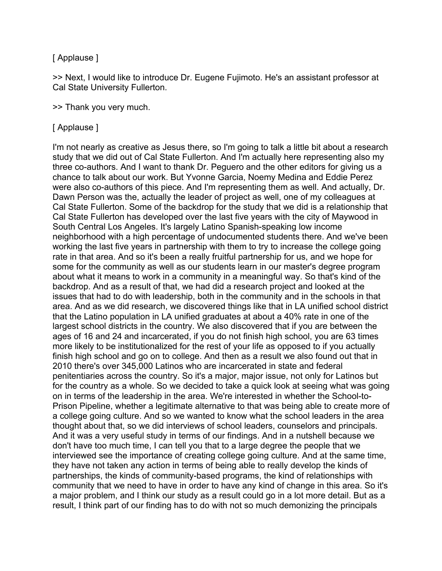#### [ Applause ]

>> Next, I would like to introduce Dr. Eugene Fujimoto. He's an assistant professor at Cal State University Fullerton.

>> Thank you very much.

#### [ Applause ]

I'm not nearly as creative as Jesus there, so I'm going to talk a little bit about a research study that we did out of Cal State Fullerton. And I'm actually here representing also my three co-authors. And I want to thank Dr. Peguero and the other editors for giving us a chance to talk about our work. But Yvonne Garcia, Noemy Medina and Eddie Perez were also co-authors of this piece. And I'm representing them as well. And actually, Dr. Dawn Person was the, actually the leader of project as well, one of my colleagues at Cal State Fullerton. Some of the backdrop for the study that we did is a relationship that Cal State Fullerton has developed over the last five years with the city of Maywood in South Central Los Angeles. It's largely Latino Spanish-speaking low income neighborhood with a high percentage of undocumented students there. And we've been working the last five years in partnership with them to try to increase the college going rate in that area. And so it's been a really fruitful partnership for us, and we hope for some for the community as well as our students learn in our master's degree program about what it means to work in a community in a meaningful way. So that's kind of the backdrop. And as a result of that, we had did a research project and looked at the issues that had to do with leadership, both in the community and in the schools in that area. And as we did research, we discovered things like that in LA unified school district that the Latino population in LA unified graduates at about a 40% rate in one of the largest school districts in the country. We also discovered that if you are between the ages of 16 and 24 and incarcerated, if you do not finish high school, you are 63 times more likely to be institutionalized for the rest of your life as opposed to if you actually finish high school and go on to college. And then as a result we also found out that in 2010 there's over 345,000 Latinos who are incarcerated in state and federal penitentiaries across the country. So it's a major, major issue, not only for Latinos but for the country as a whole. So we decided to take a quick look at seeing what was going on in terms of the leadership in the area. We're interested in whether the School-to-Prison Pipeline, whether a legitimate alternative to that was being able to create more of a college going culture. And so we wanted to know what the school leaders in the area thought about that, so we did interviews of school leaders, counselors and principals. And it was a very useful study in terms of our findings. And in a nutshell because we don't have too much time, I can tell you that to a large degree the people that we interviewed see the importance of creating college going culture. And at the same time, they have not taken any action in terms of being able to really develop the kinds of partnerships, the kinds of community-based programs, the kind of relationships with community that we need to have in order to have any kind of change in this area. So it's a major problem, and I think our study as a result could go in a lot more detail. But as a result, I think part of our finding has to do with not so much demonizing the principals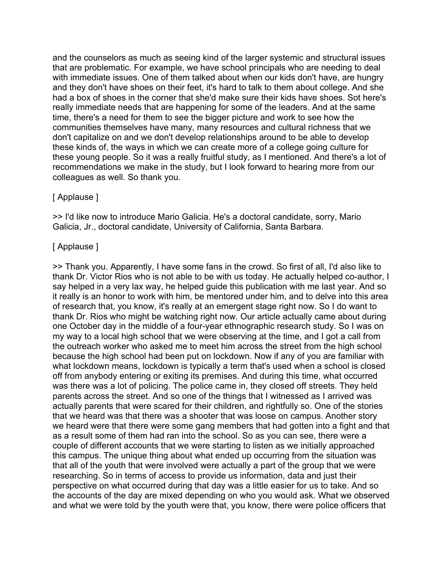and the counselors as much as seeing kind of the larger systemic and structural issues that are problematic. For example, we have school principals who are needing to deal with immediate issues. One of them talked about when our kids don't have, are hungry and they don't have shoes on their feet, it's hard to talk to them about college. And she had a box of shoes in the corner that she'd make sure their kids have shoes. Sot here's really immediate needs that are happening for some of the leaders. And at the same time, there's a need for them to see the bigger picture and work to see how the communities themselves have many, many resources and cultural richness that we don't capitalize on and we don't develop relationships around to be able to develop these kinds of, the ways in which we can create more of a college going culture for these young people. So it was a really fruitful study, as I mentioned. And there's a lot of recommendations we make in the study, but I look forward to hearing more from our colleagues as well. So thank you.

#### [ Applause ]

>> I'd like now to introduce Mario Galicia. He's a doctoral candidate, sorry, Mario Galicia, Jr., doctoral candidate, University of California, Santa Barbara.

#### [ Applause ]

>> Thank you. Apparently, I have some fans in the crowd. So first of all, I'd also like to thank Dr. Victor Rios who is not able to be with us today. He actually helped co-author, I say helped in a very lax way, he helped guide this publication with me last year. And so it really is an honor to work with him, be mentored under him, and to delve into this area of research that, you know, it's really at an emergent stage right now. So I do want to thank Dr. Rios who might be watching right now. Our article actually came about during one October day in the middle of a four-year ethnographic research study. So I was on my way to a local high school that we were observing at the time, and I got a call from the outreach worker who asked me to meet him across the street from the high school because the high school had been put on lockdown. Now if any of you are familiar with what lockdown means, lockdown is typically a term that's used when a school is closed off from anybody entering or exiting its premises. And during this time, what occurred was there was a lot of policing. The police came in, they closed off streets. They held parents across the street. And so one of the things that I witnessed as I arrived was actually parents that were scared for their children, and rightfully so. One of the stories that we heard was that there was a shooter that was loose on campus. Another story we heard were that there were some gang members that had gotten into a fight and that as a result some of them had ran into the school. So as you can see, there were a couple of different accounts that we were starting to listen as we initially approached this campus. The unique thing about what ended up occurring from the situation was that all of the youth that were involved were actually a part of the group that we were researching. So in terms of access to provide us information, data and just their perspective on what occurred during that day was a little easier for us to take. And so the accounts of the day are mixed depending on who you would ask. What we observed and what we were told by the youth were that, you know, there were police officers that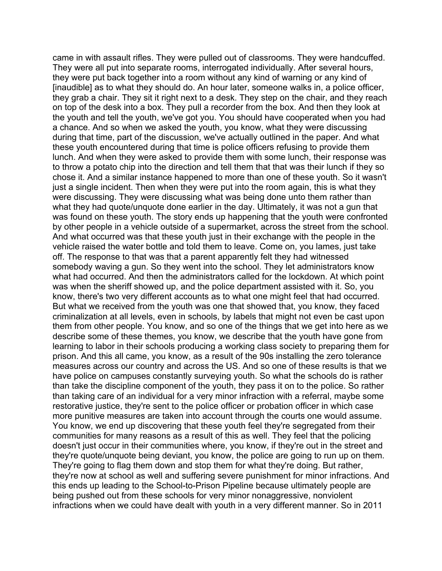came in with assault rifles. They were pulled out of classrooms. They were handcuffed. They were all put into separate rooms, interrogated individually. After several hours, they were put back together into a room without any kind of warning or any kind of [inaudible] as to what they should do. An hour later, someone walks in, a police officer, they grab a chair. They sit it right next to a desk. They step on the chair, and they reach on top of the desk into a box. They pull a recorder from the box. And then they look at the youth and tell the youth, we've got you. You should have cooperated when you had a chance. And so when we asked the youth, you know, what they were discussing during that time, part of the discussion, we've actually outlined in the paper. And what these youth encountered during that time is police officers refusing to provide them lunch. And when they were asked to provide them with some lunch, their response was to throw a potato chip into the direction and tell them that that was their lunch if they so chose it. And a similar instance happened to more than one of these youth. So it wasn't just a single incident. Then when they were put into the room again, this is what they were discussing. They were discussing what was being done unto them rather than what they had quote/unquote done earlier in the day. Ultimately, it was not a gun that was found on these youth. The story ends up happening that the youth were confronted by other people in a vehicle outside of a supermarket, across the street from the school. And what occurred was that these youth just in their exchange with the people in the vehicle raised the water bottle and told them to leave. Come on, you lames, just take off. The response to that was that a parent apparently felt they had witnessed somebody waving a gun. So they went into the school. They let administrators know what had occurred. And then the administrators called for the lockdown. At which point was when the sheriff showed up, and the police department assisted with it. So, you know, there's two very different accounts as to what one might feel that had occurred. But what we received from the youth was one that showed that, you know, they faced criminalization at all levels, even in schools, by labels that might not even be cast upon them from other people. You know, and so one of the things that we get into here as we describe some of these themes, you know, we describe that the youth have gone from learning to labor in their schools producing a working class society to preparing them for prison. And this all came, you know, as a result of the 90s installing the zero tolerance measures across our country and across the US. And so one of these results is that we have police on campuses constantly surveying youth. So what the schools do is rather than take the discipline component of the youth, they pass it on to the police. So rather than taking care of an individual for a very minor infraction with a referral, maybe some restorative justice, they're sent to the police officer or probation officer in which case more punitive measures are taken into account through the courts one would assume. You know, we end up discovering that these youth feel they're segregated from their communities for many reasons as a result of this as well. They feel that the policing doesn't just occur in their communities where, you know, if they're out in the street and they're quote/unquote being deviant, you know, the police are going to run up on them. They're going to flag them down and stop them for what they're doing. But rather, they're now at school as well and suffering severe punishment for minor infractions. And this ends up leading to the School-to-Prison Pipeline because ultimately people are being pushed out from these schools for very minor nonaggressive, nonviolent infractions when we could have dealt with youth in a very different manner. So in 2011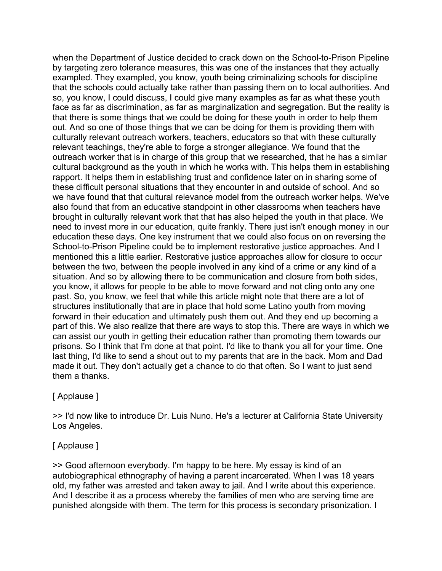when the Department of Justice decided to crack down on the School-to-Prison Pipeline by targeting zero tolerance measures, this was one of the instances that they actually exampled. They exampled, you know, youth being criminalizing schools for discipline that the schools could actually take rather than passing them on to local authorities. And so, you know, I could discuss, I could give many examples as far as what these youth face as far as discrimination, as far as marginalization and segregation. But the reality is that there is some things that we could be doing for these youth in order to help them out. And so one of those things that we can be doing for them is providing them with culturally relevant outreach workers, teachers, educators so that with these culturally relevant teachings, they're able to forge a stronger allegiance. We found that the outreach worker that is in charge of this group that we researched, that he has a similar cultural background as the youth in which he works with. This helps them in establishing rapport. It helps them in establishing trust and confidence later on in sharing some of these difficult personal situations that they encounter in and outside of school. And so we have found that that cultural relevance model from the outreach worker helps. We've also found that from an educative standpoint in other classrooms when teachers have brought in culturally relevant work that that has also helped the youth in that place. We need to invest more in our education, quite frankly. There just isn't enough money in our education these days. One key instrument that we could also focus on on reversing the School-to-Prison Pipeline could be to implement restorative justice approaches. And I mentioned this a little earlier. Restorative justice approaches allow for closure to occur between the two, between the people involved in any kind of a crime or any kind of a situation. And so by allowing there to be communication and closure from both sides, you know, it allows for people to be able to move forward and not cling onto any one past. So, you know, we feel that while this article might note that there are a lot of structures institutionally that are in place that hold some Latino youth from moving forward in their education and ultimately push them out. And they end up becoming a part of this. We also realize that there are ways to stop this. There are ways in which we can assist our youth in getting their education rather than promoting them towards our prisons. So I think that I'm done at that point. I'd like to thank you all for your time. One last thing, I'd like to send a shout out to my parents that are in the back. Mom and Dad made it out. They don't actually get a chance to do that often. So I want to just send them a thanks.

#### [ Applause ]

>> I'd now like to introduce Dr. Luis Nuno. He's a lecturer at California State University Los Angeles.

#### [ Applause ]

>> Good afternoon everybody. I'm happy to be here. My essay is kind of an autobiographical ethnography of having a parent incarcerated. When I was 18 years old, my father was arrested and taken away to jail. And I write about this experience. And I describe it as a process whereby the families of men who are serving time are punished alongside with them. The term for this process is secondary prisonization. I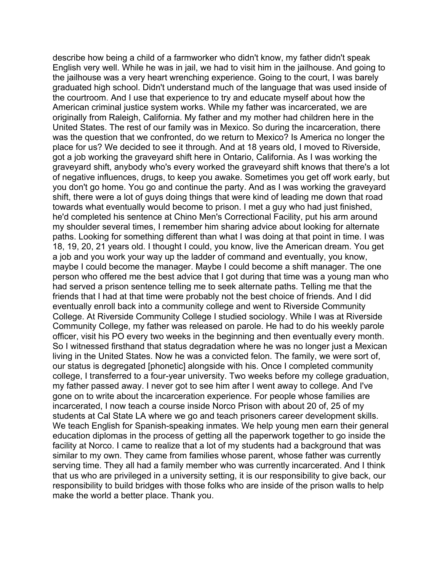describe how being a child of a farmworker who didn't know, my father didn't speak English very well. While he was in jail, we had to visit him in the jailhouse. And going to the jailhouse was a very heart wrenching experience. Going to the court, I was barely graduated high school. Didn't understand much of the language that was used inside of the courtroom. And I use that experience to try and educate myself about how the American criminal justice system works. While my father was incarcerated, we are originally from Raleigh, California. My father and my mother had children here in the United States. The rest of our family was in Mexico. So during the incarceration, there was the question that we confronted, do we return to Mexico? Is America no longer the place for us? We decided to see it through. And at 18 years old, I moved to Riverside, got a job working the graveyard shift here in Ontario, California. As I was working the graveyard shift, anybody who's every worked the graveyard shift knows that there's a lot of negative influences, drugs, to keep you awake. Sometimes you get off work early, but you don't go home. You go and continue the party. And as I was working the graveyard shift, there were a lot of guys doing things that were kind of leading me down that road towards what eventually would become to prison. I met a guy who had just finished, he'd completed his sentence at Chino Men's Correctional Facility, put his arm around my shoulder several times, I remember him sharing advice about looking for alternate paths. Looking for something different than what I was doing at that point in time. I was 18, 19, 20, 21 years old. I thought I could, you know, live the American dream. You get a job and you work your way up the ladder of command and eventually, you know, maybe I could become the manager. Maybe I could become a shift manager. The one person who offered me the best advice that I got during that time was a young man who had served a prison sentence telling me to seek alternate paths. Telling me that the friends that I had at that time were probably not the best choice of friends. And I did eventually enroll back into a community college and went to Riverside Community College. At Riverside Community College I studied sociology. While I was at Riverside Community College, my father was released on parole. He had to do his weekly parole officer, visit his PO every two weeks in the beginning and then eventually every month. So I witnessed firsthand that status degradation where he was no longer just a Mexican living in the United States. Now he was a convicted felon. The family, we were sort of, our status is degregated [phonetic] alongside with his. Once I completed community college, I transferred to a four-year university. Two weeks before my college graduation, my father passed away. I never got to see him after I went away to college. And I've gone on to write about the incarceration experience. For people whose families are incarcerated, I now teach a course inside Norco Prison with about 20 of, 25 of my students at Cal State LA where we go and teach prisoners career development skills. We teach English for Spanish-speaking inmates. We help young men earn their general education diplomas in the process of getting all the paperwork together to go inside the facility at Norco. I came to realize that a lot of my students had a background that was similar to my own. They came from families whose parent, whose father was currently serving time. They all had a family member who was currently incarcerated. And I think that us who are privileged in a university setting, it is our responsibility to give back, our responsibility to build bridges with those folks who are inside of the prison walls to help make the world a better place. Thank you.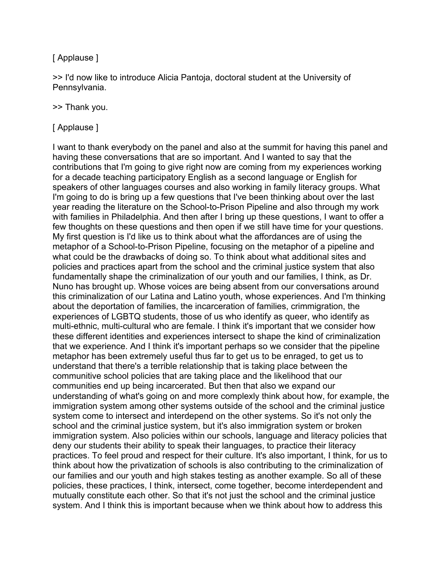### [ Applause ]

>> I'd now like to introduce Alicia Pantoja, doctoral student at the University of Pennsylvania.

#### >> Thank you.

#### [ Applause ]

I want to thank everybody on the panel and also at the summit for having this panel and having these conversations that are so important. And I wanted to say that the contributions that I'm going to give right now are coming from my experiences working for a decade teaching participatory English as a second language or English for speakers of other languages courses and also working in family literacy groups. What I'm going to do is bring up a few questions that I've been thinking about over the last year reading the literature on the School-to-Prison Pipeline and also through my work with families in Philadelphia. And then after I bring up these questions, I want to offer a few thoughts on these questions and then open if we still have time for your questions. My first question is I'd like us to think about what the affordances are of using the metaphor of a School-to-Prison Pipeline, focusing on the metaphor of a pipeline and what could be the drawbacks of doing so. To think about what additional sites and policies and practices apart from the school and the criminal justice system that also fundamentally shape the criminalization of our youth and our families, I think, as Dr. Nuno has brought up. Whose voices are being absent from our conversations around this criminalization of our Latina and Latino youth, whose experiences. And I'm thinking about the deportation of families, the incarceration of families, crimmigration, the experiences of LGBTQ students, those of us who identify as queer, who identify as multi-ethnic, multi-cultural who are female. I think it's important that we consider how these different identities and experiences intersect to shape the kind of criminalization that we experience. And I think it's important perhaps so we consider that the pipeline metaphor has been extremely useful thus far to get us to be enraged, to get us to understand that there's a terrible relationship that is taking place between the communitive school policies that are taking place and the likelihood that our communities end up being incarcerated. But then that also we expand our understanding of what's going on and more complexly think about how, for example, the immigration system among other systems outside of the school and the criminal justice system come to intersect and interdepend on the other systems. So it's not only the school and the criminal justice system, but it's also immigration system or broken immigration system. Also policies within our schools, language and literacy policies that deny our students their ability to speak their languages, to practice their literacy practices. To feel proud and respect for their culture. It's also important, I think, for us to think about how the privatization of schools is also contributing to the criminalization of our families and our youth and high stakes testing as another example. So all of these policies, these practices, I think, intersect, come together, become interdependent and mutually constitute each other. So that it's not just the school and the criminal justice system. And I think this is important because when we think about how to address this